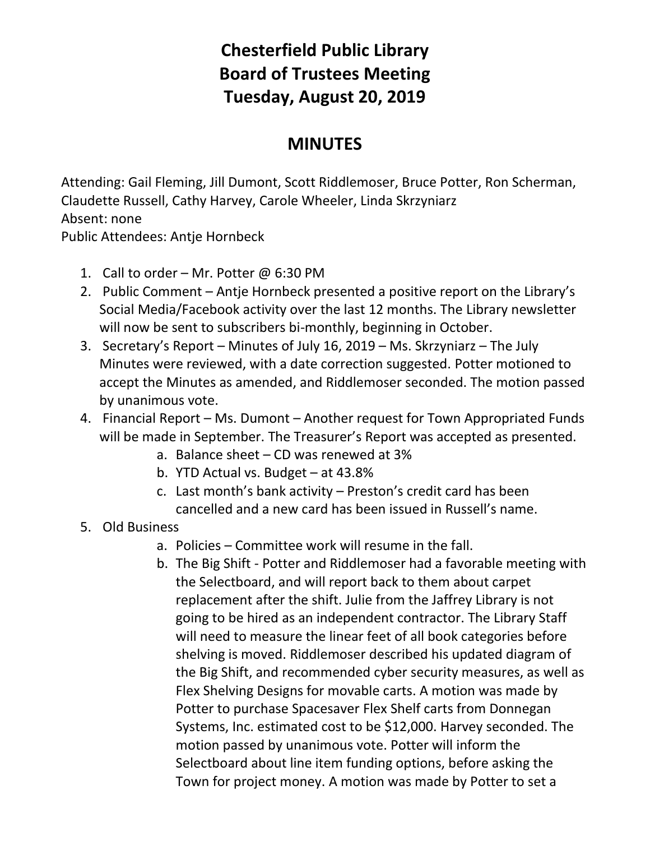## **Chesterfield Public Library Board of Trustees Meeting Tuesday, August 20, 2019**

## **MINUTES**

Attending: Gail Fleming, Jill Dumont, Scott Riddlemoser, Bruce Potter, Ron Scherman, Claudette Russell, Cathy Harvey, Carole Wheeler, Linda Skrzyniarz Absent: none

Public Attendees: Antje Hornbeck

- 1. Call to order Mr. Potter  $@6:30$  PM
- 2. Public Comment Antje Hornbeck presented a positive report on the Library's Social Media/Facebook activity over the last 12 months. The Library newsletter will now be sent to subscribers bi-monthly, beginning in October.
- 3. Secretary's Report Minutes of July 16, 2019 Ms. Skrzyniarz The July Minutes were reviewed, with a date correction suggested. Potter motioned to accept the Minutes as amended, and Riddlemoser seconded. The motion passed by unanimous vote.
- 4. Financial Report Ms. Dumont Another request for Town Appropriated Funds will be made in September. The Treasurer's Report was accepted as presented.
	- a. Balance sheet CD was renewed at 3%
	- b. YTD Actual vs. Budget at 43.8%
	- c. Last month's bank activity Preston's credit card has been cancelled and a new card has been issued in Russell's name.
- 5. Old Business
	- a. Policies Committee work will resume in the fall.
	- b. The Big Shift Potter and Riddlemoser had a favorable meeting with the Selectboard, and will report back to them about carpet replacement after the shift. Julie from the Jaffrey Library is not going to be hired as an independent contractor. The Library Staff will need to measure the linear feet of all book categories before shelving is moved. Riddlemoser described his updated diagram of the Big Shift, and recommended cyber security measures, as well as Flex Shelving Designs for movable carts. A motion was made by Potter to purchase Spacesaver Flex Shelf carts from Donnegan Systems, Inc. estimated cost to be \$12,000. Harvey seconded. The motion passed by unanimous vote. Potter will inform the Selectboard about line item funding options, before asking the Town for project money. A motion was made by Potter to set a